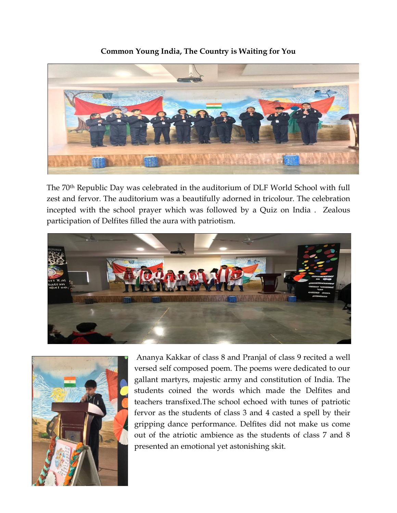## **Common Young India, The Country is Waiting for You**



The 70th Republic Day was celebrated in the auditorium of DLF World School with full zest and fervor. The auditorium was a beautifully adorned in tricolour. The celebration incepted with the school prayer which was followed by a Quiz on India . Zealous participation of Delfites filled the aura with patriotism.





Ananya Kakkar of class 8 and Pranjal of class 9 recited a well versed self composed poem. The poems were dedicated to our gallant martyrs, majestic army and constitution of India. The students coined the words which made the Delfites and teachers transfixed.The school echoed with tunes of patriotic fervor as the students of class 3 and 4 casted a spell by their gripping dance performance. Delfites did not make us come out of the atriotic ambience as the students of class 7 and 8 presented an emotional yet astonishing skit.